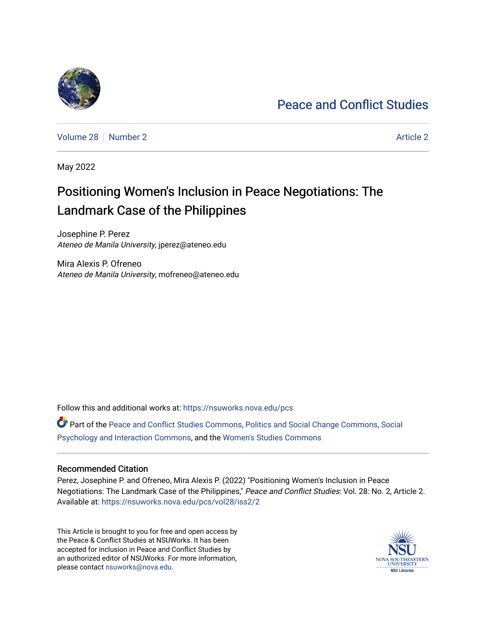# [Peace and Conflict Studies](https://nsuworks.nova.edu/pcs)

[Volume 28](https://nsuworks.nova.edu/pcs/vol28) [Number 2](https://nsuworks.nova.edu/pcs/vol28/iss2) [Article 2](https://nsuworks.nova.edu/pcs/vol28/iss2/2) Article 2 Article 2 Article 2 Article 2 Article 2 Article 2

May 2022

# Positioning Women's Inclusion in Peace Negotiations: The Landmark Case of the Philippines

Josephine P. Perez Ateneo de Manila University, jperez@ateneo.edu

Mira Alexis P. Ofreneo Ateneo de Manila University, mofreneo@ateneo.edu

Follow this and additional works at: [https://nsuworks.nova.edu/pcs](https://nsuworks.nova.edu/pcs?utm_source=nsuworks.nova.edu%2Fpcs%2Fvol28%2Fiss2%2F2&utm_medium=PDF&utm_campaign=PDFCoverPages)

Part of the [Peace and Conflict Studies Commons,](http://network.bepress.com/hgg/discipline/397?utm_source=nsuworks.nova.edu%2Fpcs%2Fvol28%2Fiss2%2F2&utm_medium=PDF&utm_campaign=PDFCoverPages) [Politics and Social Change Commons,](http://network.bepress.com/hgg/discipline/425?utm_source=nsuworks.nova.edu%2Fpcs%2Fvol28%2Fiss2%2F2&utm_medium=PDF&utm_campaign=PDFCoverPages) [Social](http://network.bepress.com/hgg/discipline/430?utm_source=nsuworks.nova.edu%2Fpcs%2Fvol28%2Fiss2%2F2&utm_medium=PDF&utm_campaign=PDFCoverPages)  [Psychology and Interaction Commons,](http://network.bepress.com/hgg/discipline/430?utm_source=nsuworks.nova.edu%2Fpcs%2Fvol28%2Fiss2%2F2&utm_medium=PDF&utm_campaign=PDFCoverPages) and the [Women's Studies Commons](http://network.bepress.com/hgg/discipline/561?utm_source=nsuworks.nova.edu%2Fpcs%2Fvol28%2Fiss2%2F2&utm_medium=PDF&utm_campaign=PDFCoverPages)

## Recommended Citation

Perez, Josephine P. and Ofreneo, Mira Alexis P. (2022) "Positioning Women's Inclusion in Peace Negotiations: The Landmark Case of the Philippines," Peace and Conflict Studies: Vol. 28: No. 2, Article 2. Available at: [https://nsuworks.nova.edu/pcs/vol28/iss2/2](https://nsuworks.nova.edu/pcs/vol28/iss2/2?utm_source=nsuworks.nova.edu%2Fpcs%2Fvol28%2Fiss2%2F2&utm_medium=PDF&utm_campaign=PDFCoverPages)

This Article is brought to you for free and open access by the Peace & Conflict Studies at NSUWorks. It has been accepted for inclusion in Peace and Conflict Studies by an authorized editor of NSUWorks. For more information, please contact [nsuworks@nova.edu](mailto:nsuworks@nova.edu).

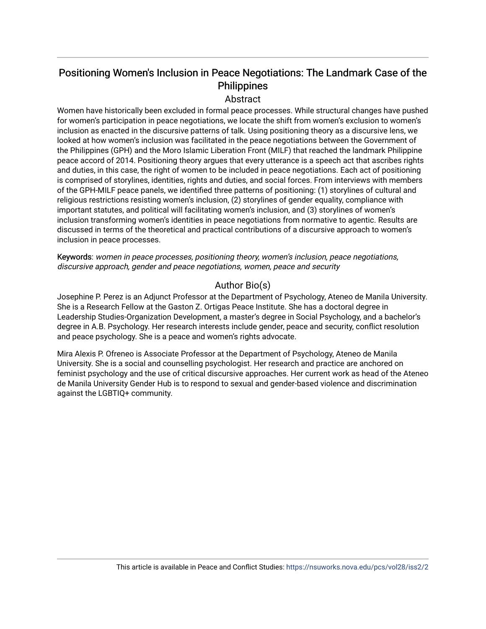# Positioning Women's Inclusion in Peace Negotiations: The Landmark Case of the Philippines

## Abstract

Women have historically been excluded in formal peace processes. While structural changes have pushed for women's participation in peace negotiations, we locate the shift from women's exclusion to women's inclusion as enacted in the discursive patterns of talk. Using positioning theory as a discursive lens, we looked at how women's inclusion was facilitated in the peace negotiations between the Government of the Philippines (GPH) and the Moro Islamic Liberation Front (MILF) that reached the landmark Philippine peace accord of 2014. Positioning theory argues that every utterance is a speech act that ascribes rights and duties, in this case, the right of women to be included in peace negotiations. Each act of positioning is comprised of storylines, identities, rights and duties, and social forces. From interviews with members of the GPH-MILF peace panels, we identified three patterns of positioning: (1) storylines of cultural and religious restrictions resisting women's inclusion, (2) storylines of gender equality, compliance with important statutes, and political will facilitating women's inclusion, and (3) storylines of women's inclusion transforming women's identities in peace negotiations from normative to agentic. Results are discussed in terms of the theoretical and practical contributions of a discursive approach to women's inclusion in peace processes.

Keywords: women in peace processes, positioning theory, women's inclusion, peace negotiations, discursive approach, gender and peace negotiations, women, peace and security

# Author Bio(s)

Josephine P. Perez is an Adjunct Professor at the Department of Psychology, Ateneo de Manila University. She is a Research Fellow at the Gaston Z. Ortigas Peace Institute. She has a doctoral degree in Leadership Studies-Organization Development, a master's degree in Social Psychology, and a bachelor's degree in A.B. Psychology. Her research interests include gender, peace and security, conflict resolution and peace psychology. She is a peace and women's rights advocate.

Mira Alexis P. Ofreneo is Associate Professor at the Department of Psychology, Ateneo de Manila University. She is a social and counselling psychologist. Her research and practice are anchored on feminist psychology and the use of critical discursive approaches. Her current work as head of the Ateneo de Manila University Gender Hub is to respond to sexual and gender-based violence and discrimination against the LGBTIQ+ community.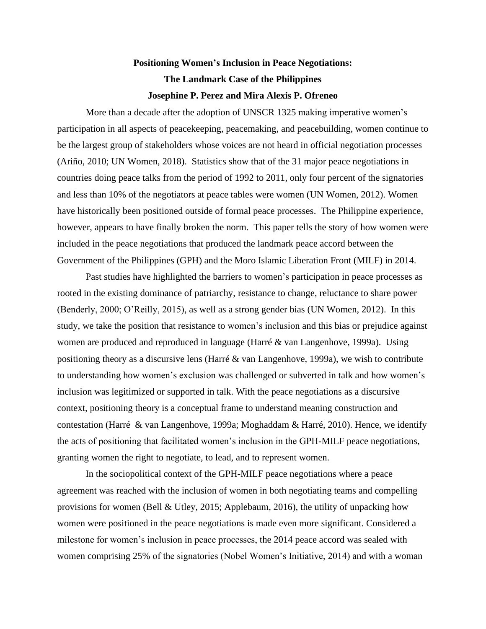# **Positioning Women's Inclusion in Peace Negotiations: The Landmark Case of the Philippines Josephine P. Perez and Mira Alexis P. Ofreneo**

More than a decade after the adoption of UNSCR 1325 making imperative women's participation in all aspects of peacekeeping, peacemaking, and peacebuilding, women continue to be the largest group of stakeholders whose voices are not heard in official negotiation processes (Ariño, 2010; UN Women, 2018). Statistics show that of the 31 major peace negotiations in countries doing peace talks from the period of 1992 to 2011, only four percent of the signatories and less than 10% of the negotiators at peace tables were women (UN Women, 2012). Women have historically been positioned outside of formal peace processes. The Philippine experience, however, appears to have finally broken the norm. This paper tells the story of how women were included in the peace negotiations that produced the landmark peace accord between the Government of the Philippines (GPH) and the Moro Islamic Liberation Front (MILF) in 2014.

Past studies have highlighted the barriers to women's participation in peace processes as rooted in the existing dominance of patriarchy, resistance to change, reluctance to share power (Benderly, 2000; O'Reilly, 2015), as well as a strong gender bias (UN Women, 2012). In this study, we take the position that resistance to women's inclusion and this bias or prejudice against women are produced and reproduced in language (Harré & van Langenhove, 1999a). Using positioning theory as a discursive lens (Harré & van Langenhove, 1999a), we wish to contribute to understanding how women's exclusion was challenged or subverted in talk and how women's inclusion was legitimized or supported in talk. With the peace negotiations as a discursive context, positioning theory is a conceptual frame to understand meaning construction and contestation (Harré & van Langenhove, 1999a; Moghaddam & Harré, 2010). Hence, we identify the acts of positioning that facilitated women's inclusion in the GPH-MILF peace negotiations, granting women the right to negotiate, to lead, and to represent women.

In the sociopolitical context of the GPH-MILF peace negotiations where a peace agreement was reached with the inclusion of women in both negotiating teams and compelling provisions for women (Bell & Utley, 2015; Applebaum, 2016), the utility of unpacking how women were positioned in the peace negotiations is made even more significant. Considered a milestone for women's inclusion in peace processes, the 2014 peace accord was sealed with women comprising 25% of the signatories (Nobel Women's Initiative, 2014) and with a woman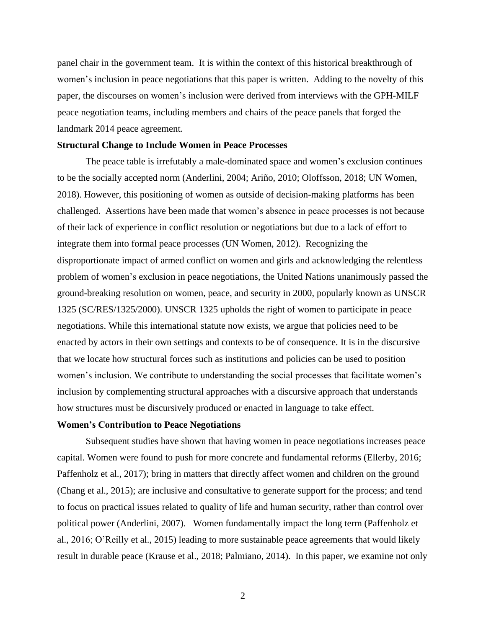panel chair in the government team. It is within the context of this historical breakthrough of women's inclusion in peace negotiations that this paper is written. Adding to the novelty of this paper, the discourses on women's inclusion were derived from interviews with the GPH-MILF peace negotiation teams, including members and chairs of the peace panels that forged the landmark 2014 peace agreement.

### **Structural Change to Include Women in Peace Processes**

The peace table is irrefutably a male-dominated space and women's exclusion continues to be the socially accepted norm (Anderlini, 2004; Ariño, 2010; Oloffsson, 2018; UN Women, 2018). However, this positioning of women as outside of decision-making platforms has been challenged. Assertions have been made that women's absence in peace processes is not because of their lack of experience in conflict resolution or negotiations but due to a lack of effort to integrate them into formal peace processes (UN Women, 2012). Recognizing the disproportionate impact of armed conflict on women and girls and acknowledging the relentless problem of women's exclusion in peace negotiations, the United Nations unanimously passed the ground-breaking resolution on women, peace, and security in 2000, popularly known as UNSCR 1325 (SC/RES/1325/2000). UNSCR 1325 upholds the right of women to participate in peace negotiations. While this international statute now exists, we argue that policies need to be enacted by actors in their own settings and contexts to be of consequence. It is in the discursive that we locate how structural forces such as institutions and policies can be used to position women's inclusion. We contribute to understanding the social processes that facilitate women's inclusion by complementing structural approaches with a discursive approach that understands how structures must be discursively produced or enacted in language to take effect.

### **Women's Contribution to Peace Negotiations**

Subsequent studies have shown that having women in peace negotiations increases peace capital. Women were found to push for more concrete and fundamental reforms (Ellerby, 2016; Paffenholz et al., 2017); bring in matters that directly affect women and children on the ground (Chang et al., 2015); are inclusive and consultative to generate support for the process; and tend to focus on practical issues related to quality of life and human security, rather than control over political power (Anderlini, 2007). Women fundamentally impact the long term (Paffenholz et al., 2016; O'Reilly et al., 2015) leading to more sustainable peace agreements that would likely result in durable peace (Krause et al., 2018; Palmiano, 2014). In this paper, we examine not only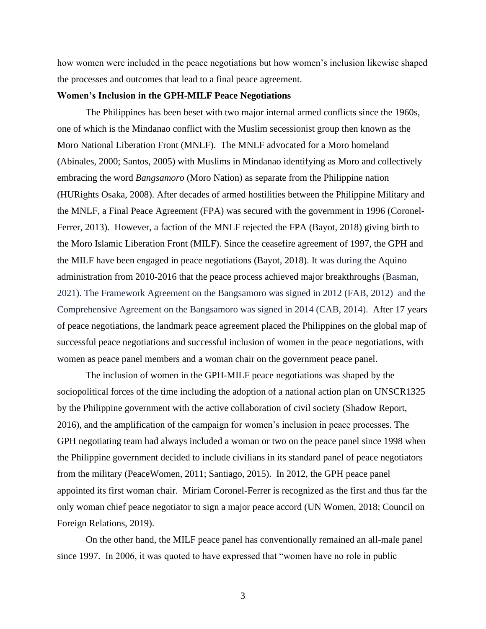how women were included in the peace negotiations but how women's inclusion likewise shaped the processes and outcomes that lead to a final peace agreement.

## **Women's Inclusion in the GPH-MILF Peace Negotiations**

The Philippines has been beset with two major internal armed conflicts since the 1960s, one of which is the Mindanao conflict with the Muslim secessionist group then known as the Moro National Liberation Front (MNLF). The MNLF advocated for a Moro homeland (Abinales, 2000; Santos, 2005) with Muslims in Mindanao identifying as Moro and collectively embracing the word *Bangsamoro* (Moro Nation) as separate from the Philippine nation (HURights Osaka, 2008). After decades of armed hostilities between the Philippine Military and the MNLF, a Final Peace Agreement (FPA) was secured with the government in 1996 (Coronel-Ferrer, 2013). However, a faction of the MNLF rejected the FPA (Bayot, 2018) giving birth to the Moro Islamic Liberation Front (MILF). Since the ceasefire agreement of 1997, the GPH and the MILF have been engaged in peace negotiations (Bayot, 2018). It was during the Aquino administration from 2010-2016 that the peace process achieved major breakthroughs (Basman, 2021). The Framework Agreement on the Bangsamoro was signed in 2012 (FAB, 2012) and the Comprehensive Agreement on the Bangsamoro was signed in 2014 (CAB, 2014). After 17 years of peace negotiations, the landmark peace agreement placed the Philippines on the global map of successful peace negotiations and successful inclusion of women in the peace negotiations, with women as peace panel members and a woman chair on the government peace panel.

The inclusion of women in the GPH-MILF peace negotiations was shaped by the sociopolitical forces of the time including the adoption of a national action plan on UNSCR1325 by the Philippine government with the active collaboration of civil society (Shadow Report, 2016), and the amplification of the campaign for women's inclusion in peace processes. The GPH negotiating team had always included a woman or two on the peace panel since 1998 when the Philippine government decided to include civilians in its standard panel of peace negotiators from the military (PeaceWomen, 2011; Santiago, 2015). In 2012, the GPH peace panel appointed its first woman chair. Miriam Coronel-Ferrer is recognized as the first and thus far the only woman chief peace negotiator to sign a major peace accord (UN Women, 2018; Council on Foreign Relations, 2019).

On the other hand, the MILF peace panel has conventionally remained an all-male panel since 1997. In 2006, it was quoted to have expressed that "women have no role in public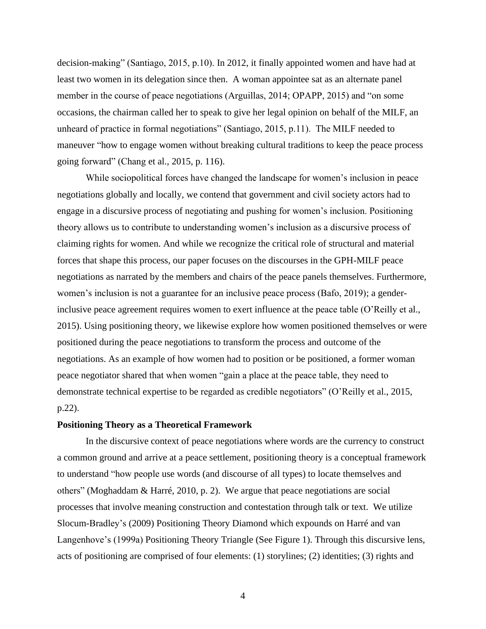decision-making" (Santiago, 2015, p.10). In 2012, it finally appointed women and have had at least two women in its delegation since then. A woman appointee sat as an alternate panel member in the course of peace negotiations (Arguillas, 2014; OPAPP, 2015) and "on some occasions, the chairman called her to speak to give her legal opinion on behalf of the MILF, an unheard of practice in formal negotiations" (Santiago, 2015, p.11). The MILF needed to maneuver "how to engage women without breaking cultural traditions to keep the peace process going forward" (Chang et al., 2015, p. 116).

While sociopolitical forces have changed the landscape for women's inclusion in peace negotiations globally and locally, we contend that government and civil society actors had to engage in a discursive process of negotiating and pushing for women's inclusion. Positioning theory allows us to contribute to understanding women's inclusion as a discursive process of claiming rights for women. And while we recognize the critical role of structural and material forces that shape this process, our paper focuses on the discourses in the GPH-MILF peace negotiations as narrated by the members and chairs of the peace panels themselves. Furthermore, women's inclusion is not a guarantee for an inclusive peace process (Bafo, 2019); a genderinclusive peace agreement requires women to exert influence at the peace table (O'Reilly et al., 2015). Using positioning theory, we likewise explore how women positioned themselves or were positioned during the peace negotiations to transform the process and outcome of the negotiations. As an example of how women had to position or be positioned, a former woman peace negotiator shared that when women "gain a place at the peace table, they need to demonstrate technical expertise to be regarded as credible negotiators" (O'Reilly et al., 2015, p.22).

### **Positioning Theory as a Theoretical Framework**

In the discursive context of peace negotiations where words are the currency to construct a common ground and arrive at a peace settlement, positioning theory is a conceptual framework to understand "how people use words (and discourse of all types) to locate themselves and others" (Moghaddam & Harré, 2010, p. 2). We argue that peace negotiations are social processes that involve meaning construction and contestation through talk or text. We utilize Slocum-Bradley's (2009) Positioning Theory Diamond which expounds on Harré and van Langenhove's (1999a) Positioning Theory Triangle (See Figure 1). Through this discursive lens, acts of positioning are comprised of four elements: (1) storylines; (2) identities; (3) rights and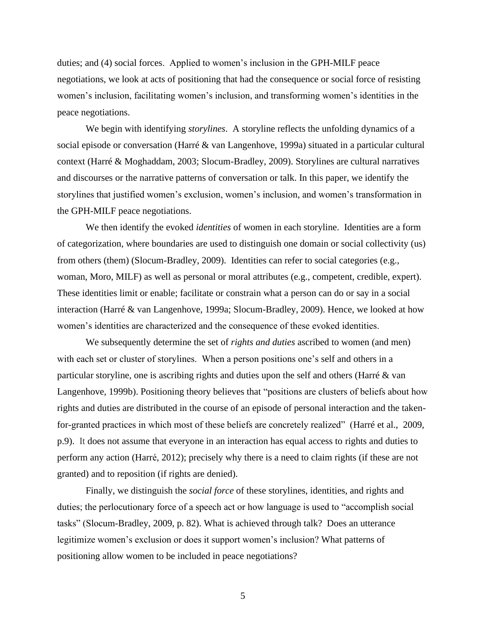duties; and (4) social forces. Applied to women's inclusion in the GPH-MILF peace negotiations, we look at acts of positioning that had the consequence or social force of resisting women's inclusion, facilitating women's inclusion, and transforming women's identities in the peace negotiations.

We begin with identifying *storylines*. A storyline reflects the unfolding dynamics of a social episode or conversation (Harré & van Langenhove, 1999a) situated in a particular cultural context (Harré & Moghaddam, 2003; Slocum-Bradley, 2009). Storylines are cultural narratives and discourses or the narrative patterns of conversation or talk. In this paper, we identify the storylines that justified women's exclusion, women's inclusion, and women's transformation in the GPH-MILF peace negotiations.

We then identify the evoked *identities* of women in each storyline. Identities are a form of categorization, where boundaries are used to distinguish one domain or social collectivity (us) from others (them) (Slocum-Bradley, 2009). Identities can refer to social categories (e.g., woman, Moro, MILF) as well as personal or moral attributes (e.g., competent, credible, expert). These identities limit or enable; facilitate or constrain what a person can do or say in a social interaction (Harré & van Langenhove, 1999a; Slocum-Bradley, 2009). Hence, we looked at how women's identities are characterized and the consequence of these evoked identities.

We subsequently determine the set of *rights and duties* ascribed to women (and men) with each set or cluster of storylines. When a person positions one's self and others in a particular storyline, one is ascribing rights and duties upon the self and others (Harré & van Langenhove, 1999b). Positioning theory believes that "positions are clusters of beliefs about how rights and duties are distributed in the course of an episode of personal interaction and the takenfor-granted practices in which most of these beliefs are concretely realized" (Harré et al., 2009, p.9). It does not assume that everyone in an interaction has equal access to rights and duties to perform any action (Harré, 2012); precisely why there is a need to claim rights (if these are not granted) and to reposition (if rights are denied).

Finally, we distinguish the *social force* of these storylines, identities, and rights and duties; the perlocutionary force of a speech act or how language is used to "accomplish social tasks" (Slocum-Bradley, 2009, p. 82). What is achieved through talk? Does an utterance legitimize women's exclusion or does it support women's inclusion? What patterns of positioning allow women to be included in peace negotiations?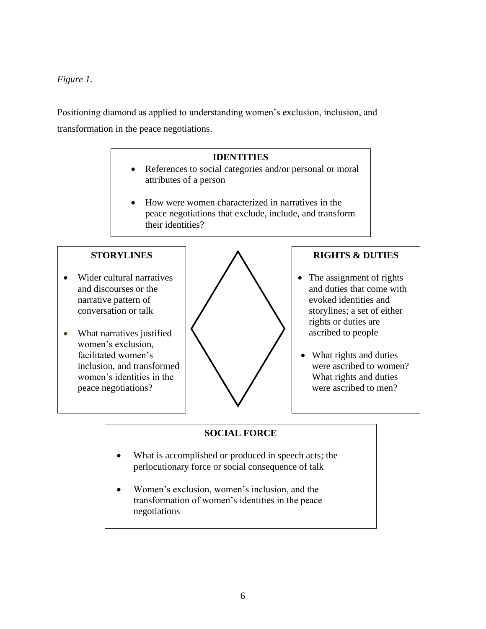# *Figure 1.*

Positioning diamond as applied to understanding women's exclusion, inclusion, and transformation in the peace negotiations.

# **IDENTITIES**

- References to social categories and/or personal or moral attributes of a person
- How were women characterized in narratives in the peace negotiations that exclude, include, and transform their identities?

## **STORYLINES**

- Wider cultural narratives and discourses or the narrative pattern of conversation or talk
- What narratives justified women's exclusion, facilitated women's inclusion, and transformed women's identities in the peace negotiations?



## **RIGHTS & DUTIES**

- The assignment of rights and duties that come with evoked identities and storylines; a set of either rights or duties are ascribed to people
- What rights and duties were ascribed to women? What rights and duties were ascribed to men?

# **SOCIAL FORCE**

- What is accomplished or produced in speech acts; the perlocutionary force or social consequence of talk
- Women's exclusion, women's inclusion, and the transformation of women's identities in the peace negotiations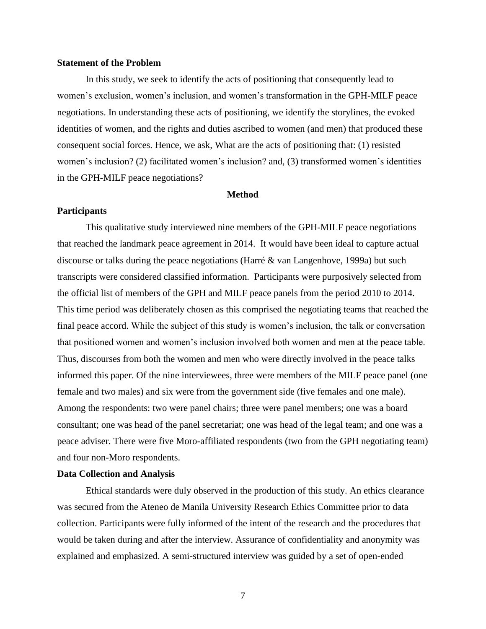## **Statement of the Problem**

In this study, we seek to identify the acts of positioning that consequently lead to women's exclusion, women's inclusion, and women's transformation in the GPH-MILF peace negotiations. In understanding these acts of positioning, we identify the storylines, the evoked identities of women, and the rights and duties ascribed to women (and men) that produced these consequent social forces. Hence, we ask, What are the acts of positioning that: (1) resisted women's inclusion? (2) facilitated women's inclusion? and, (3) transformed women's identities in the GPH-MILF peace negotiations?

#### **Method**

#### **Participants**

This qualitative study interviewed nine members of the GPH-MILF peace negotiations that reached the landmark peace agreement in 2014. It would have been ideal to capture actual discourse or talks during the peace negotiations (Harré & van Langenhove, 1999a) but such transcripts were considered classified information. Participants were purposively selected from the official list of members of the GPH and MILF peace panels from the period 2010 to 2014. This time period was deliberately chosen as this comprised the negotiating teams that reached the final peace accord. While the subject of this study is women's inclusion, the talk or conversation that positioned women and women's inclusion involved both women and men at the peace table. Thus, discourses from both the women and men who were directly involved in the peace talks informed this paper. Of the nine interviewees, three were members of the MILF peace panel (one female and two males) and six were from the government side (five females and one male). Among the respondents: two were panel chairs; three were panel members; one was a board consultant; one was head of the panel secretariat; one was head of the legal team; and one was a peace adviser. There were five Moro-affiliated respondents (two from the GPH negotiating team) and four non-Moro respondents.

## **Data Collection and Analysis**

Ethical standards were duly observed in the production of this study. An ethics clearance was secured from the Ateneo de Manila University Research Ethics Committee prior to data collection. Participants were fully informed of the intent of the research and the procedures that would be taken during and after the interview. Assurance of confidentiality and anonymity was explained and emphasized. A semi-structured interview was guided by a set of open-ended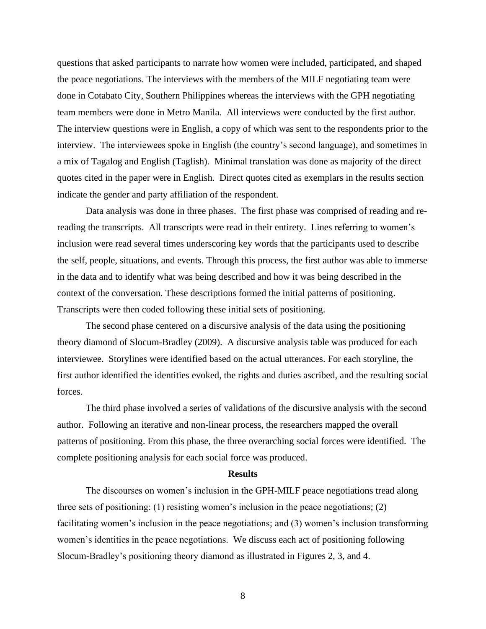questions that asked participants to narrate how women were included, participated, and shaped the peace negotiations. The interviews with the members of the MILF negotiating team were done in Cotabato City, Southern Philippines whereas the interviews with the GPH negotiating team members were done in Metro Manila. All interviews were conducted by the first author. The interview questions were in English, a copy of which was sent to the respondents prior to the interview. The interviewees spoke in English (the country's second language), and sometimes in a mix of Tagalog and English (Taglish). Minimal translation was done as majority of the direct quotes cited in the paper were in English. Direct quotes cited as exemplars in the results section indicate the gender and party affiliation of the respondent.

Data analysis was done in three phases. The first phase was comprised of reading and rereading the transcripts. All transcripts were read in their entirety. Lines referring to women's inclusion were read several times underscoring key words that the participants used to describe the self, people, situations, and events. Through this process, the first author was able to immerse in the data and to identify what was being described and how it was being described in the context of the conversation. These descriptions formed the initial patterns of positioning. Transcripts were then coded following these initial sets of positioning.

The second phase centered on a discursive analysis of the data using the positioning theory diamond of Slocum-Bradley (2009). A discursive analysis table was produced for each interviewee. Storylines were identified based on the actual utterances. For each storyline, the first author identified the identities evoked, the rights and duties ascribed, and the resulting social forces.

The third phase involved a series of validations of the discursive analysis with the second author. Following an iterative and non-linear process, the researchers mapped the overall patterns of positioning. From this phase, the three overarching social forces were identified. The complete positioning analysis for each social force was produced.

#### **Results**

The discourses on women's inclusion in the GPH-MILF peace negotiations tread along three sets of positioning: (1) resisting women's inclusion in the peace negotiations; (2) facilitating women's inclusion in the peace negotiations; and (3) women's inclusion transforming women's identities in the peace negotiations. We discuss each act of positioning following Slocum-Bradley's positioning theory diamond as illustrated in Figures 2, 3, and 4.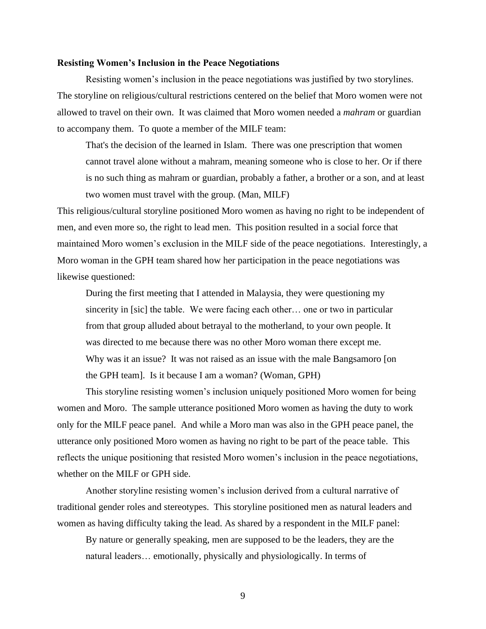## **Resisting Women's Inclusion in the Peace Negotiations**

Resisting women's inclusion in the peace negotiations was justified by two storylines. The storyline on religious/cultural restrictions centered on the belief that Moro women were not allowed to travel on their own. It was claimed that Moro women needed a *mahram* or guardian to accompany them. To quote a member of the MILF team:

That's the decision of the learned in Islam. There was one prescription that women cannot travel alone without a mahram, meaning someone who is close to her. Or if there is no such thing as mahram or guardian, probably a father, a brother or a son, and at least two women must travel with the group*.* (Man, MILF)

This religious/cultural storyline positioned Moro women as having no right to be independent of men, and even more so, the right to lead men. This position resulted in a social force that maintained Moro women's exclusion in the MILF side of the peace negotiations. Interestingly, a Moro woman in the GPH team shared how her participation in the peace negotiations was likewise questioned:

During the first meeting that I attended in Malaysia, they were questioning my sincerity in [sic] the table. We were facing each other… one or two in particular from that group alluded about betrayal to the motherland, to your own people. It was directed to me because there was no other Moro woman there except me. Why was it an issue? It was not raised as an issue with the male Bangsamoro [on the GPH team]. Is it because I am a woman? (Woman, GPH)

This storyline resisting women's inclusion uniquely positioned Moro women for being women and Moro. The sample utterance positioned Moro women as having the duty to work only for the MILF peace panel. And while a Moro man was also in the GPH peace panel, the utterance only positioned Moro women as having no right to be part of the peace table. This reflects the unique positioning that resisted Moro women's inclusion in the peace negotiations, whether on the MILF or GPH side.

Another storyline resisting women's inclusion derived from a cultural narrative of traditional gender roles and stereotypes. This storyline positioned men as natural leaders and women as having difficulty taking the lead. As shared by a respondent in the MILF panel:

By nature or generally speaking, men are supposed to be the leaders, they are the natural leaders… emotionally, physically and physiologically. In terms of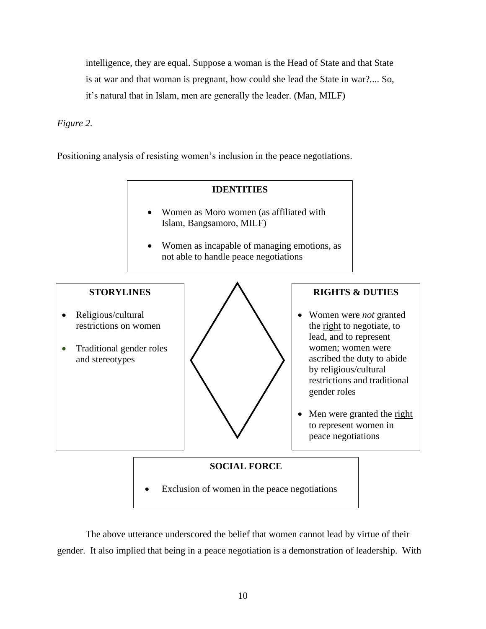intelligence, they are equal. Suppose a woman is the Head of State and that State is at war and that woman is pregnant, how could she lead the State in war?.... So, it's natural that in Islam, men are generally the leader*.* (Man, MILF)

*Figure 2.*

Positioning analysis of resisting women's inclusion in the peace negotiations.

## **IDENTITIES**

- Women as Moro women (as affiliated with Islam, Bangsamoro, MILF)
- Women as incapable of managing emotions, as not able to handle peace negotiations

## **STORYLINES**

- Religious/cultural restrictions on women
- Traditional gender roles and stereotypes



# **RIGHTS & DUTIES**

- Women were *not* granted the right to negotiate, to lead, and to represent women; women were ascribed the duty to abide by religious/cultural restrictions and traditional gender roles
- Men were granted the right to represent women in peace negotiations

# **SOCIAL FORCE**

Exclusion of women in the peace negotiations

The above utterance underscored the belief that women cannot lead by virtue of their gender. It also implied that being in a peace negotiation is a demonstration of leadership. With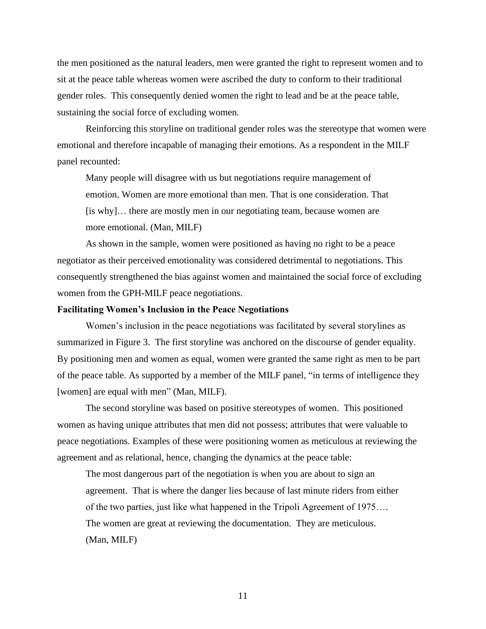the men positioned as the natural leaders, men were granted the right to represent women and to sit at the peace table whereas women were ascribed the duty to conform to their traditional gender roles. This consequently denied women the right to lead and be at the peace table, sustaining the social force of excluding women.

Reinforcing this storyline on traditional gender roles was the stereotype that women were emotional and therefore incapable of managing their emotions. As a respondent in the MILF panel recounted:

Many people will disagree with us but negotiations require management of emotion. Women are more emotional than men. That is one consideration. That [is why]… there are mostly men in our negotiating team, because women are more emotional. (Man, MILF)

As shown in the sample, women were positioned as having no right to be a peace negotiator as their perceived emotionality was considered detrimental to negotiations. This consequently strengthened the bias against women and maintained the social force of excluding women from the GPH-MILF peace negotiations.

## **Facilitating Women's Inclusion in the Peace Negotiations**

Women's inclusion in the peace negotiations was facilitated by several storylines as summarized in Figure 3. The first storyline was anchored on the discourse of gender equality. By positioning men and women as equal, women were granted the same right as men to be part of the peace table. As supported by a member of the MILF panel, "in terms of intelligence they [women] are equal with men" (Man, MILF).

The second storyline was based on positive stereotypes of women. This positioned women as having unique attributes that men did not possess; attributes that were valuable to peace negotiations. Examples of these were positioning women as meticulous at reviewing the agreement and as relational, hence, changing the dynamics at the peace table:

The most dangerous part of the negotiation is when you are about to sign an agreement. That is where the danger lies because of last minute riders from either of the two parties, just like what happened in the Tripoli Agreement of 1975…. The women are great at reviewing the documentation. They are meticulous. (Man, MILF)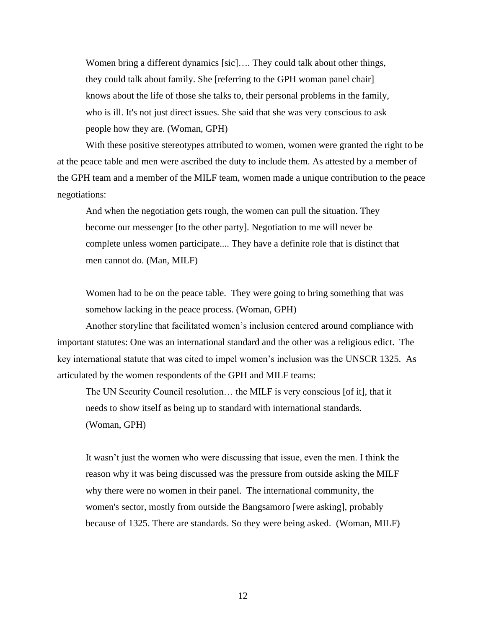Women bring a different dynamics [sic].... They could talk about other things, they could talk about family. She [referring to the GPH woman panel chair] knows about the life of those she talks to, their personal problems in the family, who is ill. It's not just direct issues. She said that she was very conscious to ask people how they are. (Woman, GPH)

With these positive stereotypes attributed to women, women were granted the right to be at the peace table and men were ascribed the duty to include them. As attested by a member of the GPH team and a member of the MILF team, women made a unique contribution to the peace negotiations:

And when the negotiation gets rough, the women can pull the situation. They become our messenger [to the other party]. Negotiation to me will never be complete unless women participate.... They have a definite role that is distinct that men cannot do. (Man, MILF)

Women had to be on the peace table. They were going to bring something that was somehow lacking in the peace process. (Woman, GPH)

Another storyline that facilitated women's inclusion centered around compliance with important statutes: One was an international standard and the other was a religious edict. The key international statute that was cited to impel women's inclusion was the UNSCR 1325. As articulated by the women respondents of the GPH and MILF teams:

The UN Security Council resolution… the MILF is very conscious [of it], that it needs to show itself as being up to standard with international standards. (Woman, GPH)

It wasn't just the women who were discussing that issue, even the men. I think the reason why it was being discussed was the pressure from outside asking the MILF why there were no women in their panel. The international community, the women's sector, mostly from outside the Bangsamoro [were asking], probably because of 1325. There are standards. So they were being asked. (Woman, MILF)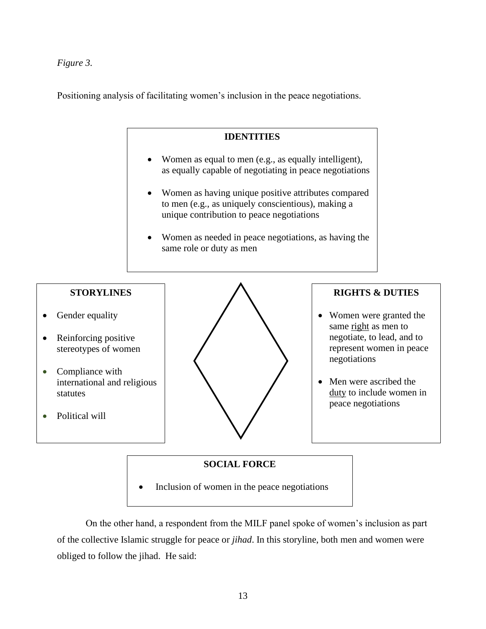*Figure 3.*

Positioning analysis of facilitating women's inclusion in the peace negotiations.



## **SOCIAL FORCE**

• Inclusion of women in the peace negotiations

On the other hand, a respondent from the MILF panel spoke of women's inclusion as part of the collective Islamic struggle for peace or *jihad*. In this storyline, both men and women were obliged to follow the jihad. He said: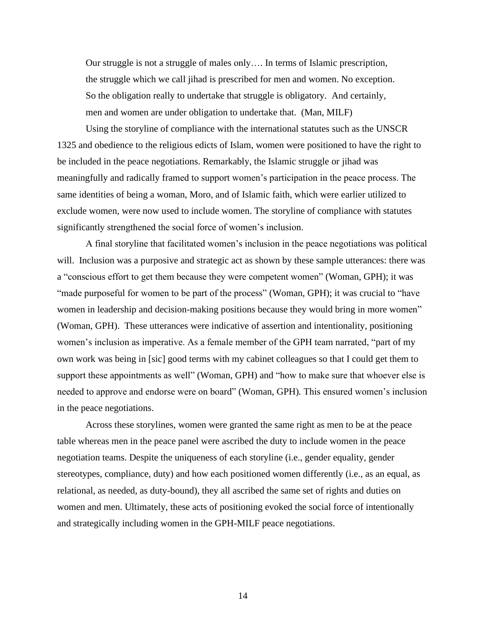Our struggle is not a struggle of males only…. In terms of Islamic prescription, the struggle which we call jihad is prescribed for men and women. No exception. So the obligation really to undertake that struggle is obligatory. And certainly, men and women are under obligation to undertake that. (Man, MILF)

Using the storyline of compliance with the international statutes such as the UNSCR 1325 and obedience to the religious edicts of Islam, women were positioned to have the right to be included in the peace negotiations. Remarkably, the Islamic struggle or jihad was meaningfully and radically framed to support women's participation in the peace process. The same identities of being a woman, Moro, and of Islamic faith, which were earlier utilized to exclude women, were now used to include women. The storyline of compliance with statutes significantly strengthened the social force of women's inclusion.

A final storyline that facilitated women's inclusion in the peace negotiations was political will. Inclusion was a purposive and strategic act as shown by these sample utterances: there was a "conscious effort to get them because they were competent women" (Woman, GPH); it was "made purposeful for women to be part of the process" (Woman, GPH); it was crucial to "have women in leadership and decision-making positions because they would bring in more women" (Woman, GPH). These utterances were indicative of assertion and intentionality, positioning women's inclusion as imperative. As a female member of the GPH team narrated, "part of my own work was being in [sic] good terms with my cabinet colleagues so that I could get them to support these appointments as well" (Woman, GPH) and "how to make sure that whoever else is needed to approve and endorse were on board" (Woman, GPH)*.* This ensured women's inclusion in the peace negotiations.

Across these storylines, women were granted the same right as men to be at the peace table whereas men in the peace panel were ascribed the duty to include women in the peace negotiation teams. Despite the uniqueness of each storyline (i.e., gender equality, gender stereotypes, compliance, duty) and how each positioned women differently (i.e., as an equal, as relational, as needed, as duty-bound), they all ascribed the same set of rights and duties on women and men. Ultimately, these acts of positioning evoked the social force of intentionally and strategically including women in the GPH-MILF peace negotiations.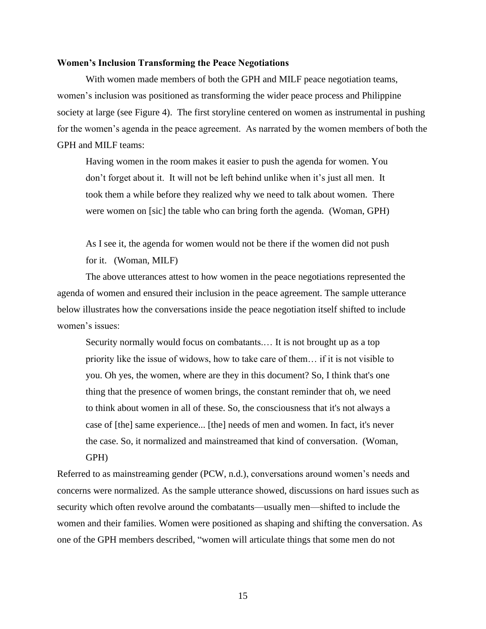### **Women's Inclusion Transforming the Peace Negotiations**

With women made members of both the GPH and MILF peace negotiation teams, women's inclusion was positioned as transforming the wider peace process and Philippine society at large (see Figure 4). The first storyline centered on women as instrumental in pushing for the women's agenda in the peace agreement. As narrated by the women members of both the GPH and MILF teams:

Having women in the room makes it easier to push the agenda for women. You don't forget about it. It will not be left behind unlike when it's just all men. It took them a while before they realized why we need to talk about women. There were women on [sic] the table who can bring forth the agenda*.* (Woman, GPH)

As I see it, the agenda for women would not be there if the women did not push for it. (Woman, MILF)

The above utterances attest to how women in the peace negotiations represented the agenda of women and ensured their inclusion in the peace agreement. The sample utterance below illustrates how the conversations inside the peace negotiation itself shifted to include women's issues:

Security normally would focus on combatants.… It is not brought up as a top priority like the issue of widows, how to take care of them… if it is not visible to you. Oh yes, the women, where are they in this document? So, I think that's one thing that the presence of women brings, the constant reminder that oh, we need to think about women in all of these. So, the consciousness that it's not always a case of [the] same experience... [the] needs of men and women. In fact, it's never the case. So, it normalized and mainstreamed that kind of conversation. (Woman, GPH)

Referred to as mainstreaming gender (PCW, n.d.), conversations around women's needs and concerns were normalized. As the sample utterance showed, discussions on hard issues such as security which often revolve around the combatants—usually men—shifted to include the women and their families. Women were positioned as shaping and shifting the conversation. As one of the GPH members described, "women will articulate things that some men do not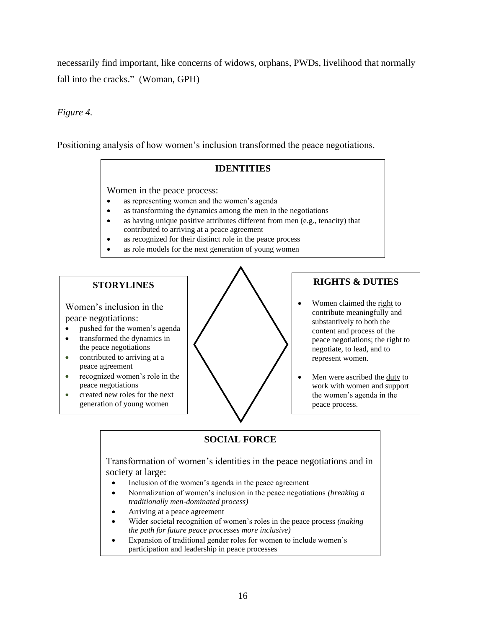necessarily find important, like concerns of widows, orphans, PWDs, livelihood that normally fall into the cracks." (Woman, GPH)

## *Figure 4.*

Positioning analysis of how women's inclusion transformed the peace negotiations.

# **IDENTITIES**

Women in the peace process:

- as representing women and the women's agenda
- as transforming the dynamics among the men in the negotiations
- as having unique positive attributes different from men (e.g., tenacity) that contributed to arriving at a peace agreement
- as recognized for their distinct role in the peace process
- as role models for the next generation of young women

# **STORYLINES**

Women's inclusion in the peace negotiations:

- pushed for the women's agenda
- transformed the dynamics in the peace negotiations
- contributed to arriving at a peace agreement
- recognized women's role in the peace negotiations
- created new roles for the next generation of young women



# **RIGHTS & DUTIES**

- Women claimed the right to contribute meaningfully and substantively to both the content and process of the peace negotiations; the right to negotiate, to lead, and to represent women.
- Men were ascribed the duty to work with women and support the women's agenda in the peace process.

# **SOCIAL FORCE**

Transformation of women's identities in the peace negotiations and in society at large:

- Inclusion of the women's agenda in the peace agreement
- Normalization of women's inclusion in the peace negotiations *(breaking a traditionally men-dominated process)*
- Arriving at a peace agreement
- Wider societal recognition of women's roles in the peace process *(making the path for future peace processes more inclusive)*
- Expansion of traditional gender roles for women to include women's participation and leadership in peace processes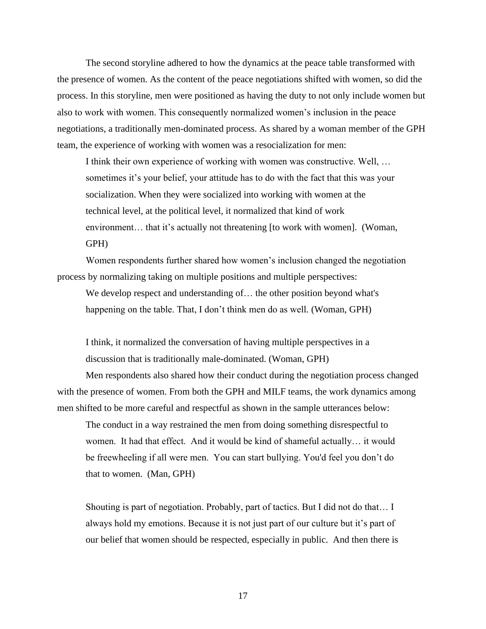The second storyline adhered to how the dynamics at the peace table transformed with the presence of women. As the content of the peace negotiations shifted with women, so did the process. In this storyline, men were positioned as having the duty to not only include women but also to work with women. This consequently normalized women's inclusion in the peace negotiations, a traditionally men-dominated process. As shared by a woman member of the GPH team, the experience of working with women was a resocialization for men:

I think their own experience of working with women was constructive. Well, … sometimes it's your belief, your attitude has to do with the fact that this was your socialization. When they were socialized into working with women at the technical level, at the political level, it normalized that kind of work environment… that it's actually not threatening [to work with women]. (Woman, GPH)

Women respondents further shared how women's inclusion changed the negotiation process by normalizing taking on multiple positions and multiple perspectives:

We develop respect and understanding of… the other position beyond what's happening on the table. That, I don't think men do as well*.* (Woman, GPH)

I think, it normalized the conversation of having multiple perspectives in a discussion that is traditionally male-dominated. (Woman, GPH)

Men respondents also shared how their conduct during the negotiation process changed with the presence of women. From both the GPH and MILF teams, the work dynamics among men shifted to be more careful and respectful as shown in the sample utterances below:

The conduct in a way restrained the men from doing something disrespectful to women. It had that effect. And it would be kind of shameful actually… it would be freewheeling if all were men. You can start bullying. You'd feel you don't do that to women.(Man, GPH)

Shouting is part of negotiation. Probably, part of tactics. But I did not do that… I always hold my emotions. Because it is not just part of our culture but it's part of our belief that women should be respected, especially in public. And then there is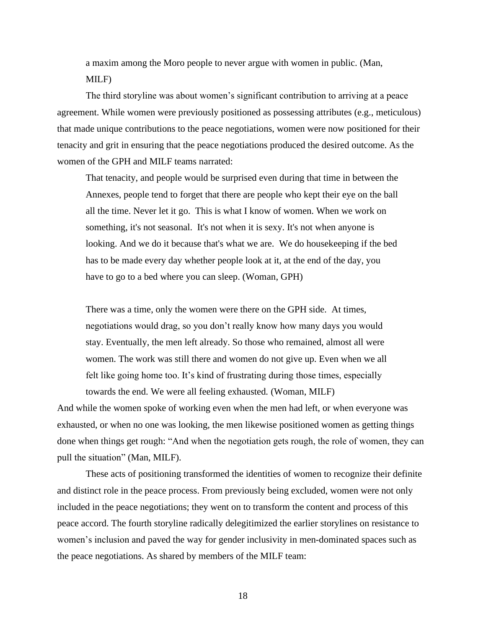a maxim among the Moro people to never argue with women in public. (Man, MILF)

The third storyline was about women's significant contribution to arriving at a peace agreement. While women were previously positioned as possessing attributes (e.g., meticulous) that made unique contributions to the peace negotiations, women were now positioned for their tenacity and grit in ensuring that the peace negotiations produced the desired outcome. As the women of the GPH and MILF teams narrated:

That tenacity, and people would be surprised even during that time in between the Annexes, people tend to forget that there are people who kept their eye on the ball all the time. Never let it go. This is what I know of women. When we work on something, it's not seasonal. It's not when it is sexy. It's not when anyone is looking. And we do it because that's what we are. We do housekeeping if the bed has to be made every day whether people look at it, at the end of the day, you have to go to a bed where you can sleep. (Woman, GPH)

There was a time, only the women were there on the GPH side. At times, negotiations would drag, so you don't really know how many days you would stay. Eventually, the men left already. So those who remained, almost all were women. The work was still there and women do not give up. Even when we all felt like going home too. It's kind of frustrating during those times, especially towards the end. We were all feeling exhausted*.* (Woman, MILF)

And while the women spoke of working even when the men had left, or when everyone was exhausted, or when no one was looking, the men likewise positioned women as getting things done when things get rough: "And when the negotiation gets rough, the role of women, they can pull the situation" (Man, MILF).

These acts of positioning transformed the identities of women to recognize their definite and distinct role in the peace process. From previously being excluded, women were not only included in the peace negotiations; they went on to transform the content and process of this peace accord. The fourth storyline radically delegitimized the earlier storylines on resistance to women's inclusion and paved the way for gender inclusivity in men-dominated spaces such as the peace negotiations. As shared by members of the MILF team: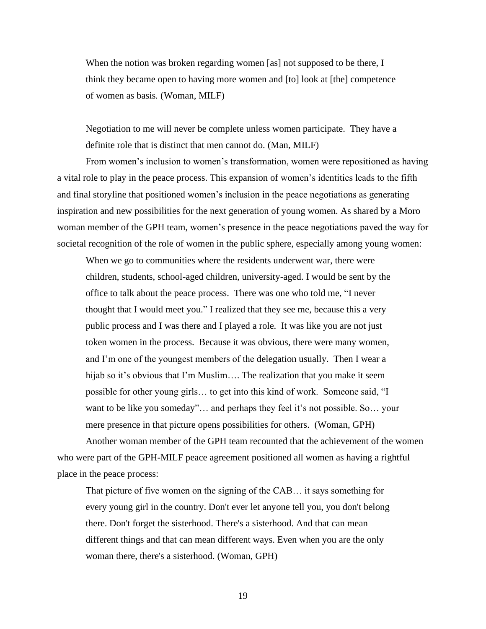When the notion was broken regarding women [as] not supposed to be there, I think they became open to having more women and [to] look at [the] competence of women as basis*.* (Woman, MILF)

Negotiation to me will never be complete unless women participate. They have a definite role that is distinct that men cannot do. (Man, MILF)

From women's inclusion to women's transformation, women were repositioned as having a vital role to play in the peace process. This expansion of women's identities leads to the fifth and final storyline that positioned women's inclusion in the peace negotiations as generating inspiration and new possibilities for the next generation of young women. As shared by a Moro woman member of the GPH team, women's presence in the peace negotiations paved the way for societal recognition of the role of women in the public sphere, especially among young women:

When we go to communities where the residents underwent war, there were children, students, school-aged children, university-aged. I would be sent by the office to talk about the peace process. There was one who told me, "I never thought that I would meet you." I realized that they see me, because this a very public process and I was there and I played a role. It was like you are not just token women in the process. Because it was obvious, there were many women, and I'm one of the youngest members of the delegation usually. Then I wear a hijab so it's obvious that I'm Muslim…. The realization that you make it seem possible for other young girls… to get into this kind of work. Someone said, "I want to be like you someday"... and perhaps they feel it's not possible. So... your mere presence in that picture opens possibilities for others.(Woman, GPH)

Another woman member of the GPH team recounted that the achievement of the women who were part of the GPH-MILF peace agreement positioned all women as having a rightful place in the peace process:

That picture of five women on the signing of the CAB… it says something for every young girl in the country. Don't ever let anyone tell you, you don't belong there. Don't forget the sisterhood. There's a sisterhood. And that can mean different things and that can mean different ways. Even when you are the only woman there, there's a sisterhood. (Woman, GPH)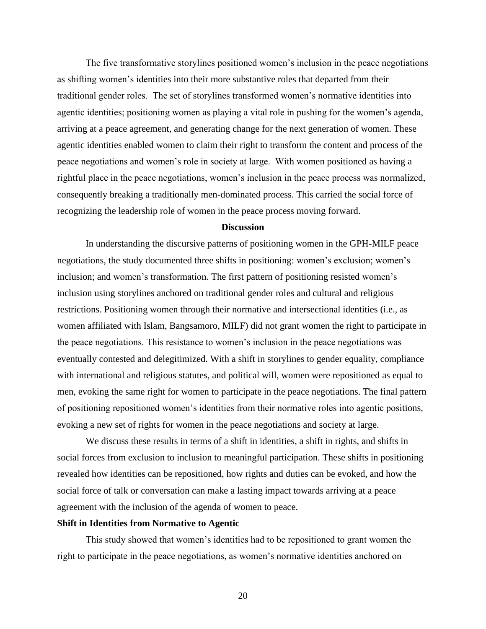The five transformative storylines positioned women's inclusion in the peace negotiations as shifting women's identities into their more substantive roles that departed from their traditional gender roles. The set of storylines transformed women's normative identities into agentic identities; positioning women as playing a vital role in pushing for the women's agenda, arriving at a peace agreement, and generating change for the next generation of women. These agentic identities enabled women to claim their right to transform the content and process of the peace negotiations and women's role in society at large. With women positioned as having a rightful place in the peace negotiations, women's inclusion in the peace process was normalized, consequently breaking a traditionally men-dominated process. This carried the social force of recognizing the leadership role of women in the peace process moving forward.

## **Discussion**

In understanding the discursive patterns of positioning women in the GPH-MILF peace negotiations, the study documented three shifts in positioning: women's exclusion; women's inclusion; and women's transformation. The first pattern of positioning resisted women's inclusion using storylines anchored on traditional gender roles and cultural and religious restrictions. Positioning women through their normative and intersectional identities (i.e., as women affiliated with Islam, Bangsamoro, MILF) did not grant women the right to participate in the peace negotiations. This resistance to women's inclusion in the peace negotiations was eventually contested and delegitimized. With a shift in storylines to gender equality, compliance with international and religious statutes, and political will, women were repositioned as equal to men, evoking the same right for women to participate in the peace negotiations. The final pattern of positioning repositioned women's identities from their normative roles into agentic positions, evoking a new set of rights for women in the peace negotiations and society at large.

We discuss these results in terms of a shift in identities, a shift in rights, and shifts in social forces from exclusion to inclusion to meaningful participation. These shifts in positioning revealed how identities can be repositioned, how rights and duties can be evoked, and how the social force of talk or conversation can make a lasting impact towards arriving at a peace agreement with the inclusion of the agenda of women to peace.

## **Shift in Identities from Normative to Agentic**

This study showed that women's identities had to be repositioned to grant women the right to participate in the peace negotiations, as women's normative identities anchored on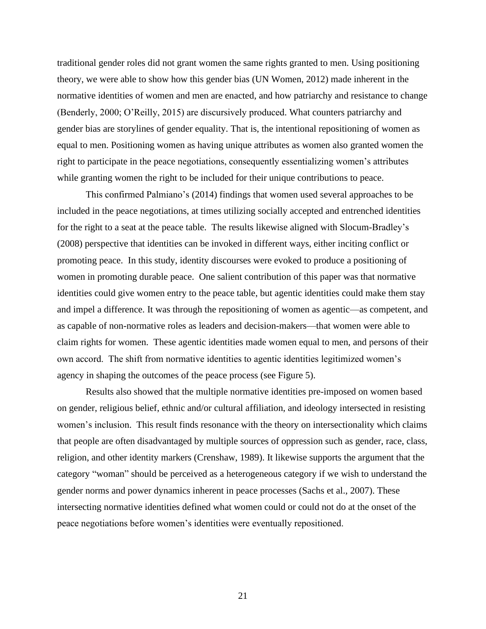traditional gender roles did not grant women the same rights granted to men. Using positioning theory, we were able to show how this gender bias (UN Women, 2012) made inherent in the normative identities of women and men are enacted, and how patriarchy and resistance to change (Benderly, 2000; O'Reilly, 2015) are discursively produced. What counters patriarchy and gender bias are storylines of gender equality. That is, the intentional repositioning of women as equal to men. Positioning women as having unique attributes as women also granted women the right to participate in the peace negotiations, consequently essentializing women's attributes while granting women the right to be included for their unique contributions to peace.

This confirmed Palmiano's (2014) findings that women used several approaches to be included in the peace negotiations, at times utilizing socially accepted and entrenched identities for the right to a seat at the peace table. The results likewise aligned with Slocum-Bradley's (2008) perspective that identities can be invoked in different ways, either inciting conflict or promoting peace. In this study, identity discourses were evoked to produce a positioning of women in promoting durable peace. One salient contribution of this paper was that normative identities could give women entry to the peace table, but agentic identities could make them stay and impel a difference. It was through the repositioning of women as agentic—as competent, and as capable of non-normative roles as leaders and decision-makers—that women were able to claim rights for women. These agentic identities made women equal to men, and persons of their own accord. The shift from normative identities to agentic identities legitimized women's agency in shaping the outcomes of the peace process (see Figure 5).

Results also showed that the multiple normative identities pre-imposed on women based on gender, religious belief, ethnic and/or cultural affiliation, and ideology intersected in resisting women's inclusion. This result finds resonance with the theory on intersectionality which claims that people are often disadvantaged by multiple sources of oppression such as gender, race, class, religion, and other identity markers (Crenshaw, 1989). It likewise supports the argument that the category "woman" should be perceived as a heterogeneous category if we wish to understand the gender norms and power dynamics inherent in peace processes (Sachs et al., 2007). These intersecting normative identities defined what women could or could not do at the onset of the peace negotiations before women's identities were eventually repositioned.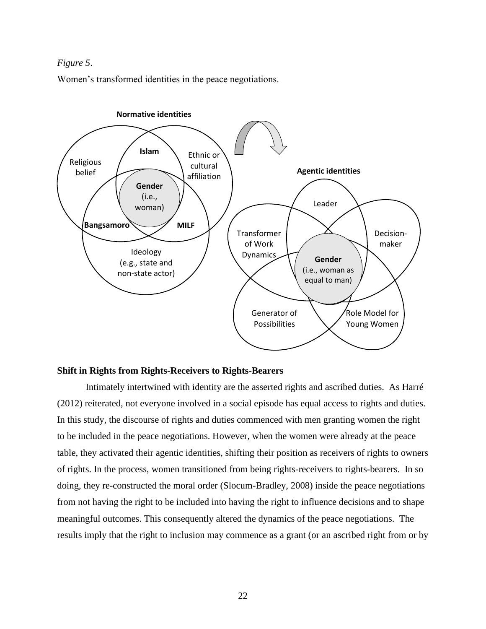## *Figure 5*.

Women's transformed identities in the peace negotiations.



#### **Shift in Rights from Rights-Receivers to Rights-Bearers**

Intimately intertwined with identity are the asserted rights and ascribed duties. As Harré (2012) reiterated, not everyone involved in a social episode has equal access to rights and duties. In this study, the discourse of rights and duties commenced with men granting women the right to be included in the peace negotiations. However, when the women were already at the peace table, they activated their agentic identities, shifting their position as receivers of rights to owners of rights. In the process, women transitioned from being rights-receivers to rights-bearers. In so doing, they re-constructed the moral order (Slocum-Bradley, 2008) inside the peace negotiations from not having the right to be included into having the right to influence decisions and to shape meaningful outcomes. This consequently altered the dynamics of the peace negotiations. The results imply that the right to inclusion may commence as a grant (or an ascribed right from or by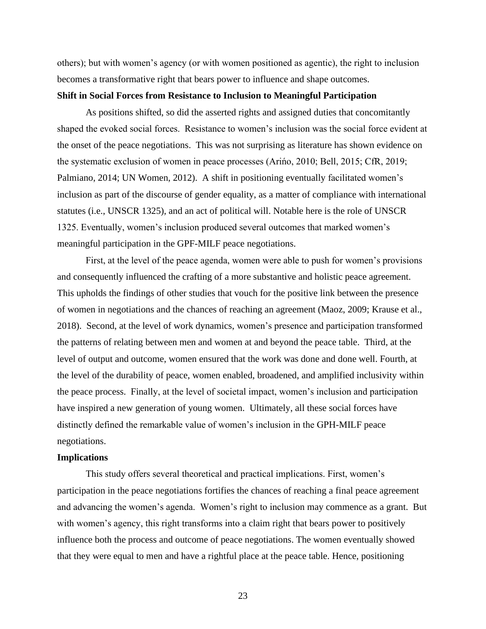others); but with women's agency (or with women positioned as agentic), the right to inclusion becomes a transformative right that bears power to influence and shape outcomes.

## **Shift in Social Forces from Resistance to Inclusion to Meaningful Participation**

As positions shifted, so did the asserted rights and assigned duties that concomitantly shaped the evoked social forces. Resistance to women's inclusion was the social force evident at the onset of the peace negotiations. This was not surprising as literature has shown evidence on the systematic exclusion of women in peace processes (Arińo, 2010; Bell, 2015; CfR, 2019; Palmiano, 2014; UN Women, 2012). A shift in positioning eventually facilitated women's inclusion as part of the discourse of gender equality, as a matter of compliance with international statutes (i.e., UNSCR 1325), and an act of political will. Notable here is the role of UNSCR 1325. Eventually, women's inclusion produced several outcomes that marked women's meaningful participation in the GPF-MILF peace negotiations.

First, at the level of the peace agenda, women were able to push for women's provisions and consequently influenced the crafting of a more substantive and holistic peace agreement. This upholds the findings of other studies that vouch for the positive link between the presence of women in negotiations and the chances of reaching an agreement (Maoz, 2009; Krause et al., 2018). Second, at the level of work dynamics, women's presence and participation transformed the patterns of relating between men and women at and beyond the peace table. Third, at the level of output and outcome, women ensured that the work was done and done well. Fourth, at the level of the durability of peace, women enabled, broadened, and amplified inclusivity within the peace process. Finally, at the level of societal impact, women's inclusion and participation have inspired a new generation of young women. Ultimately, all these social forces have distinctly defined the remarkable value of women's inclusion in the GPH-MILF peace negotiations.

#### **Implications**

This study offers several theoretical and practical implications. First, women's participation in the peace negotiations fortifies the chances of reaching a final peace agreement and advancing the women's agenda. Women's right to inclusion may commence as a grant. But with women's agency, this right transforms into a claim right that bears power to positively influence both the process and outcome of peace negotiations. The women eventually showed that they were equal to men and have a rightful place at the peace table. Hence, positioning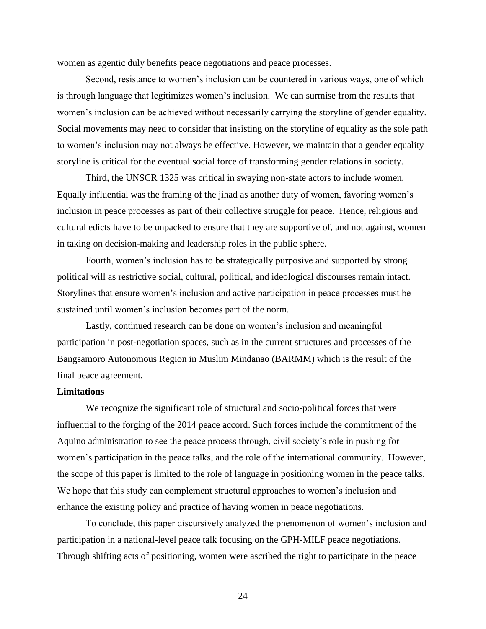women as agentic duly benefits peace negotiations and peace processes.

Second, resistance to women's inclusion can be countered in various ways, one of which is through language that legitimizes women's inclusion. We can surmise from the results that women's inclusion can be achieved without necessarily carrying the storyline of gender equality. Social movements may need to consider that insisting on the storyline of equality as the sole path to women's inclusion may not always be effective. However, we maintain that a gender equality storyline is critical for the eventual social force of transforming gender relations in society.

Third, the UNSCR 1325 was critical in swaying non-state actors to include women. Equally influential was the framing of the jihad as another duty of women, favoring women's inclusion in peace processes as part of their collective struggle for peace. Hence, religious and cultural edicts have to be unpacked to ensure that they are supportive of, and not against, women in taking on decision-making and leadership roles in the public sphere.

Fourth, women's inclusion has to be strategically purposive and supported by strong political will as restrictive social, cultural, political, and ideological discourses remain intact. Storylines that ensure women's inclusion and active participation in peace processes must be sustained until women's inclusion becomes part of the norm.

Lastly, continued research can be done on women's inclusion and meaningful participation in post-negotiation spaces, such as in the current structures and processes of the Bangsamoro Autonomous Region in Muslim Mindanao (BARMM) which is the result of the final peace agreement.

#### **Limitations**

We recognize the significant role of structural and socio-political forces that were influential to the forging of the 2014 peace accord. Such forces include the commitment of the Aquino administration to see the peace process through, civil society's role in pushing for women's participation in the peace talks, and the role of the international community. However, the scope of this paper is limited to the role of language in positioning women in the peace talks. We hope that this study can complement structural approaches to women's inclusion and enhance the existing policy and practice of having women in peace negotiations.

To conclude, this paper discursively analyzed the phenomenon of women's inclusion and participation in a national-level peace talk focusing on the GPH-MILF peace negotiations. Through shifting acts of positioning, women were ascribed the right to participate in the peace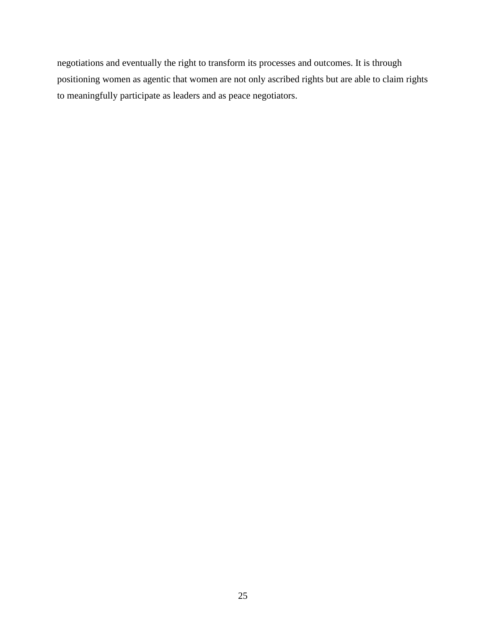negotiations and eventually the right to transform its processes and outcomes. It is through positioning women as agentic that women are not only ascribed rights but are able to claim rights to meaningfully participate as leaders and as peace negotiators.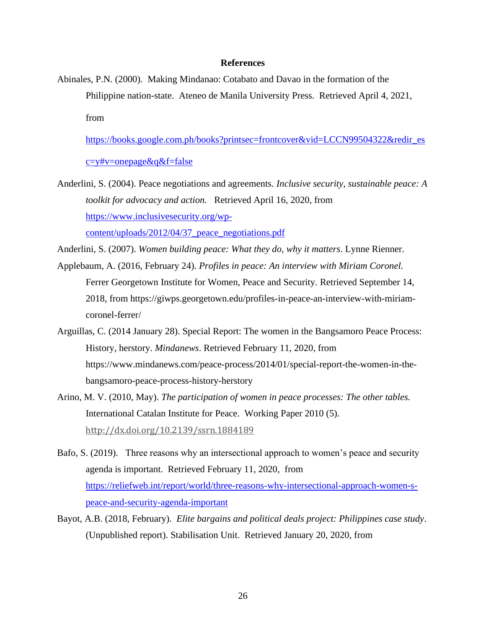## **References**

Abinales, P.N. (2000). Making Mindanao: Cotabato and Davao in the formation of the Philippine nation-state. Ateneo de Manila University Press. Retrieved April 4, 2021, from

[https://books.google.com.ph/books?printsec=frontcover&vid=LCCN99504322&redir\\_es](https://books.google.com.ph/books?printsec=frontcover&vid=LCCN99504322&redir_esc=y#v=onepage&q&f=false)

[c=y#v=onepage&q&f=false](https://books.google.com.ph/books?printsec=frontcover&vid=LCCN99504322&redir_esc=y#v=onepage&q&f=false)

Anderlini, S. (2004). Peace negotiations and agreements*. Inclusive security, sustainable peace: A toolkit for advocacy and action.* Retrieved April 16, 2020, from [https://www.inclusivesecurity.org/wp-](https://www.inclusivesecurity.org/wp-content/uploads/2012/04/37_peace_negotiations.pdf)

[content/uploads/2012/04/37\\_peace\\_negotiations.pdf](https://www.inclusivesecurity.org/wp-content/uploads/2012/04/37_peace_negotiations.pdf)

- Anderlini, S. (2007). *Women building peace: What they do, why it matters*. Lynne Rienner.
- Applebaum, A. (2016, February 24). *Profiles in peace: An interview with Miriam Coronel.* Ferrer Georgetown Institute for Women, Peace and Security*.* Retrieved September 14, 2018, from https:/[/giwps.georgetown.edu/profiles-in-peace-an-interview-with-miriam](http://giwps.georgetown.edu/profiles-in-peace-an-interview-with-miriam-coronel-ferrer/)[coronel-ferrer/](http://giwps.georgetown.edu/profiles-in-peace-an-interview-with-miriam-coronel-ferrer/)
- Arguillas, C. (2014 January 28). Special Report: The women in the Bangsamoro Peace Process: History, herstory. *Mindanews*. Retrieved February 11, 2020, from [https://www.mindanews.com/peace-process/2014/01/special-report-the-women-in-the](https://www.mindanews.com/peace-process/2014/01/special-report-the-women-in-the-)bangsamoro-peace-process-history-herstory
- Arino, M. V. (2010, May). *The participation of women in peace processes: The other tables.* International Catalan Institute for Peace. Working Paper 2010 (5). [http://dx.doi.org/10.2139/ssrn.1884189](https://dx.doi.org/10.2139/ssrn.1884189)
- Bafo, S. (2019). Three reasons why an intersectional approach to women's peace and security agenda is important. Retrieved February 11, 2020, from [https://reliefweb.int/report/world/three-reasons-why-intersectional-approach-women-s](https://reliefweb.int/report/world/three-reasons-why-intersectional-approach-women-s-peace-and-security-agenda-important)[peace-and-security-agenda-important](https://reliefweb.int/report/world/three-reasons-why-intersectional-approach-women-s-peace-and-security-agenda-important)
- Bayot, A.B. (2018, February). *Elite bargains and political deals project: Philippines case study*. (Unpublished report). Stabilisation Unit. Retrieved January 20, 2020, from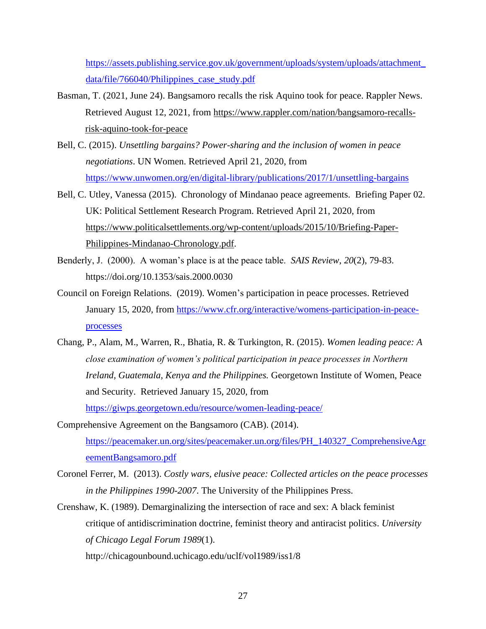[https://assets.publishing.service.gov.uk/government/uploads/system/uploads/attachment\\_](https://assets.publishing.service.gov.uk/government/uploads/system/uploads/attachment_data/file/766040/Philippines_case_study.pdf) data/file/766040/Philippines case study.pdf

- Basman, T. (2021, June 24). Bangsamoro recalls the risk Aquino took for peace. Rappler News. Retrieved August 12, 2021, from [https://www.rappler.com/nation/bangsamoro-recalls](https://www.rappler.com/nation/bangsamoro-recalls-risk-aquino-took-for-peace)[risk-aquino-took-for-peace](https://www.rappler.com/nation/bangsamoro-recalls-risk-aquino-took-for-peace)
- Bell, C. (2015). *Unsettling bargains? Power-sharing and the inclusion of women in peace negotiations*. UN Women. Retrieved April 21, 2020, from <https://www.unwomen.org/en/digital-library/publications/2017/1/unsettling-bargains>
- Bell, C. Utley, Vanessa (2015). Chronology of Mindanao peace agreements. Briefing Paper 02. UK: Political Settlement Research Program. Retrieved April 21, 2020, from [https://www.politicalsettlements.org/wp-content/uploads/2015/10/Briefing-Paper-](https://www.politicalsettlements.org/wp-content/uploads/2015/10/Briefing-Paper-Philippines-Mindanao-Chronology.pdf)[Philippines-Mindanao-Chronology.pdf.](https://www.politicalsettlements.org/wp-content/uploads/2015/10/Briefing-Paper-Philippines-Mindanao-Chronology.pdf)
- Benderly, J. (2000). A woman's place is at the peace table. *SAIS Review*, *20*(2), 79-83. https://doi.org/10.1353/sais.2000.0030
- Council on Foreign Relations. (2019). Women's participation in peace processes. Retrieved January 15, 2020, from [https://www.cfr.org/interactive/womens-participation-in-peace](https://www.cfr.org/interactive/womens-participation-in-peace-processes)[processes](https://www.cfr.org/interactive/womens-participation-in-peace-processes)
- Chang, P., Alam, M., Warren, R., Bhatia, R. & Turkington, R. (2015). *Women leading peace: A close examination of women's political participation in peace processes in Northern Ireland, Guatemala, Kenya and the Philippines.* Georgetown Institute of Women, Peace and Security. Retrieved January 15, 2020, from <https://giwps.georgetown.edu/resource/women-leading-peace/>
- Comprehensive Agreement on the Bangsamoro (CAB). (2014). [https://peacemaker.un.org/sites/peacemaker.un.org/files/PH\\_140327\\_ComprehensiveAgr](https://peacemaker.un.org/sites/peacemaker.un.org/files/PH_140327_ComprehensiveAgreementBangsamoro.pdf) [eementBangsamoro.pdf](https://peacemaker.un.org/sites/peacemaker.un.org/files/PH_140327_ComprehensiveAgreementBangsamoro.pdf)
- Coronel Ferrer, M. (2013). *Costly wars, elusive peace: Collected articles on the peace processes in the Philippines 1990-2007*. The University of the Philippines Press.
- Crenshaw, K. (1989). Demarginalizing the intersection of race and sex: A black feminist critique of antidiscrimination doctrine, feminist theory and antiracist politics. *University of Chicago Legal Forum 1989*(1).

http://chicagounbound.uchicago.edu/uclf/vol1989/iss1/8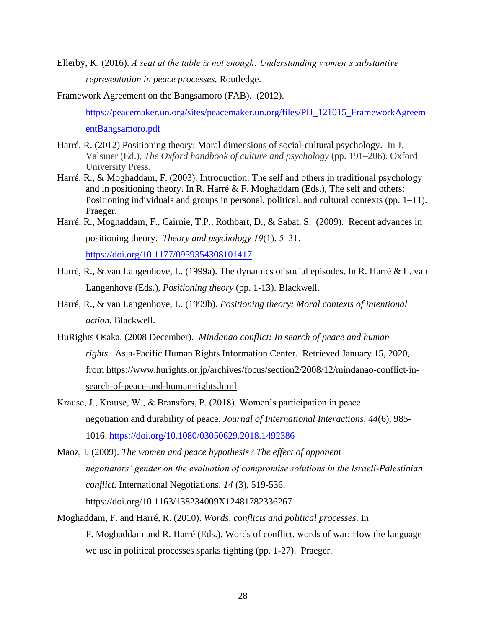- Ellerby, K. (2016). *A seat at the table is not enough: Understanding women's substantive representation in peace processes.* Routledge.
- Framework Agreement on the Bangsamoro (FAB). (2012). [https://peacemaker.un.org/sites/peacemaker.un.org/files/PH\\_121015\\_FrameworkAgreem](https://peacemaker.un.org/sites/peacemaker.un.org/files/PH_121015_FrameworkAgreementBangsamoro.pdf) [entBangsamoro.pdf](https://peacemaker.un.org/sites/peacemaker.un.org/files/PH_121015_FrameworkAgreementBangsamoro.pdf)
- Harré, R. (2012) Positioning theory: Moral dimensions of social-cultural psychology. In J. Valsiner (Ed.), *The Oxford handbook of culture and psychology* (pp. 191–206). Oxford University Press.
- Harré, R., & Moghaddam, F. (2003). Introduction: The self and others in traditional psychology and in positioning theory. In R. Harré & F. Moghaddam (Eds.), The self and others: Positioning individuals and groups in personal, political, and cultural contexts (pp. 1–11). Praeger.
- Harré, R., Moghaddam, F., Cairnie, T.P., Rothbart, D., & Sabat, S. (2009). Recent advances in positioning theory. *Theory and psychology 19*(1), 5–31. <https://doi.org/10.1177/0959354308101417>
- Harré, R., & van Langenhove, L. (1999a). The dynamics of social episodes. In R. Harré & L. van Langenhove (Eds.), *Positioning theory* (pp. 1-13). Blackwell.
- Harré, R., & van Langenhove, L. (1999b). *Positioning theory: Moral contexts of intentional action.* Blackwell.
- HuRights Osaka. (2008 December). *Mindanao conflict: In search of peace and human rights*. Asia-Pacific Human Rights Information Center. Retrieved January 15, 2020, from [https://www.hurights.or.jp/archives/focus/section2/2008/12/mindanao-conflict-in](https://www.hurights.or.jp/archives/focus/section2/2008/12/mindanao-conflict-in-search-of-peace-and-human-rights.html)[search-of-peace-and-human-rights.html](https://www.hurights.or.jp/archives/focus/section2/2008/12/mindanao-conflict-in-search-of-peace-and-human-rights.html)
- Krause, J., Krause, W., & Bransfors, P. (2018). Women's participation in peace negotiation and durability of peace. *Journal of International Interactions, 44*(6), 985- 1016.<https://doi.org/10.1080/03050629.2018.1492386>
- Maoz, I. (2009). *The women and peace hypothesis? The effect of opponent negotiators' gender on the evaluation of compromise solutions in the Israeli-Palestinian conflict.* International Negotiations, *14* (3), 519-536. https://doi.org[/10.1163/138234009X12481782336267](https://www.researchgate.net/deref/http%3A%2F%2Fdx.doi.org%2F10.1163%2F138234009X12481782336267)
- Moghaddam, F. and Harré, R. (2010). *Words, conflicts and political processes*. In F. Moghaddam and R. Harré (Eds.). Words of conflict, words of war: How the language we use in political processes sparks fighting (pp. 1-27). Praeger.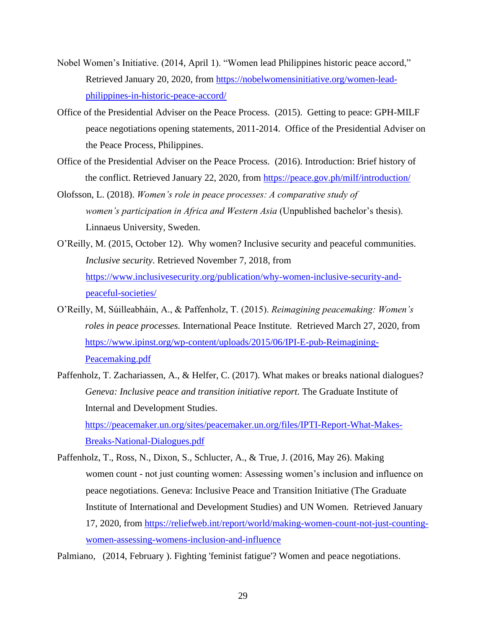- Nobel Women's Initiative. (2014, April 1). "Women lead Philippines historic peace accord," Retrieved January 20, 2020, from [https://nobelwomensinitiative.org/women-lead](https://nobelwomensinitiative.org/women-lead-philippines-in-historic-peace-accord/)[philippines-in-historic-peace-accord/](https://nobelwomensinitiative.org/women-lead-philippines-in-historic-peace-accord/)
- Office of the Presidential Adviser on the Peace Process. (2015). Getting to peace: GPH-MILF peace negotiations opening statements, 2011-2014. Office of the Presidential Adviser on the Peace Process, Philippines.
- Office of the Presidential Adviser on the Peace Process. (2016). Introduction: Brief history of the conflict. Retrieved January 22, 2020, from<https://peace.gov.ph/milf/introduction/>
- Olofsson, L. (2018). *Women's role in peace processes: A comparative study of women's participation in Africa and Western Asia* (Unpublished bachelor's thesis). Linnaeus University, Sweden.
- O'Reilly, M. (2015, October 12). Why women? Inclusive security and peaceful communities. *Inclusive security*. Retrieved November 7, 2018, from [https://www.inclusivesecurity.org/publication/why-women-inclusive-security-and](https://www.inclusivesecurity.org/publication/why-women-inclusive-security-and-peaceful-societies/)[peaceful-societies/](https://www.inclusivesecurity.org/publication/why-women-inclusive-security-and-peaceful-societies/)
- O'Reilly, M, Súilleabháin, A., & Paffenholz, T. (2015). *Reimagining peacemaking: Women's roles in peace processes.* International Peace Institute. Retrieved March 27, 2020, from [https://www.ipinst.org/wp-content/uploads/2015/06/IPI-E-pub-Reimagining-](https://www.ipinst.org/wp-content/uploads/2015/06/IPI-E-pub-Reimagining-Peacemaking.pdf)[Peacemaking.pdf](https://www.ipinst.org/wp-content/uploads/2015/06/IPI-E-pub-Reimagining-Peacemaking.pdf)
- Paffenholz, T. Zachariassen, A., & Helfer, C. (2017). What makes or breaks national dialogues? *Geneva: Inclusive peace and transition initiative report*. The Graduate Institute of Internal and Development Studies. [https://peacemaker.un.org/sites/peacemaker.un.org/files/IPTI-Report-What-Makes-](https://peacemaker.un.org/sites/peacemaker.un.org/files/IPTI-Report-What-Makes-Breaks-National-Dialogues.pdf)[Breaks-National-Dialogues.pdf](https://peacemaker.un.org/sites/peacemaker.un.org/files/IPTI-Report-What-Makes-Breaks-National-Dialogues.pdf)
- Paffenholz, T., Ross, N., Dixon, S., Schlucter, A., & True, J. (2016, May 26). Making women count - not just counting women: Assessing women's inclusion and influence on peace negotiations. Geneva: Inclusive Peace and Transition Initiative (The Graduate Institute of International and Development Studies) and UN Women. Retrieved January 17, 2020, from [https://reliefweb.int/report/world/making-women-count-not-just-counting](https://reliefweb.int/report/world/making-women-count-not-just-counting-women-assessing-womens-inclusion-and-influence)[women-assessing-womens-inclusion-and-influence](https://reliefweb.int/report/world/making-women-count-not-just-counting-women-assessing-womens-inclusion-and-influence)

Palmiano, (2014, February ). Fighting 'feminist fatigue'? Women and peace negotiations.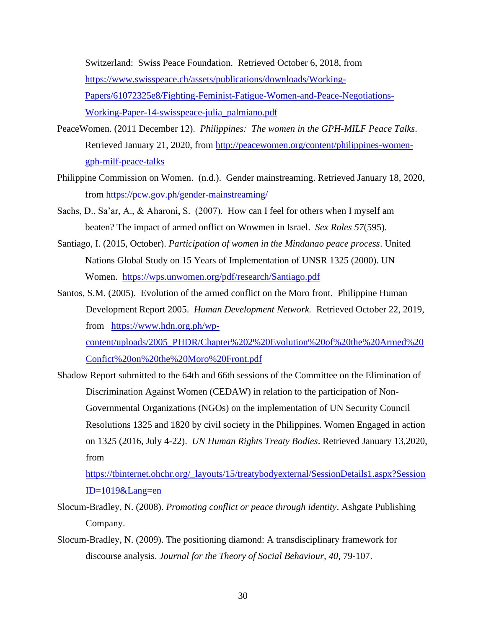Switzerland: Swiss Peace Foundation. Retrieved October 6, 2018, from [https://www.swisspeace.ch/assets/publications/downloads/Working-](https://www.swisspeace.ch/assets/publications/downloads/Working-Papers/61072325e8/Fighting-Feminist-Fatigue-Women-and-Peace-Negotiations-Working-Paper-14-swisspeace-julia_palmiano.pdf)[Papers/61072325e8/Fighting-Feminist-Fatigue-Women-and-Peace-Negotiations-](https://www.swisspeace.ch/assets/publications/downloads/Working-Papers/61072325e8/Fighting-Feminist-Fatigue-Women-and-Peace-Negotiations-Working-Paper-14-swisspeace-julia_palmiano.pdf)[Working-Paper-14-swisspeace-julia\\_palmiano.pdf](https://www.swisspeace.ch/assets/publications/downloads/Working-Papers/61072325e8/Fighting-Feminist-Fatigue-Women-and-Peace-Negotiations-Working-Paper-14-swisspeace-julia_palmiano.pdf)

- PeaceWomen. (2011 December 12). *Philippines: The women in the GPH-MILF Peace Talks*. Retrieved January 21, 2020, from [http://peacewomen.org/content/philippines-women](http://peacewomen.org/content/philippines-women-gph-milf-peace-talks)[gph-milf-peace-talks](http://peacewomen.org/content/philippines-women-gph-milf-peace-talks)
- Philippine Commission on Women. (n.d.). Gender mainstreaming. Retrieved January 18, 2020, from<https://pcw.gov.ph/gender-mainstreaming/>
- Sachs, D., Sa'ar, A., & Aharoni, S. (2007). How can I feel for others when I myself am beaten? The impact of armed onflict on Wowmen in Israel. *Sex Roles 57*(595).
- Santiago, I. (2015, October). *Participation of women in the Mindanao peace process*. United Nations Global Study on 15 Years of Implementation of UNSR 1325 (2000). UN Women. <https://wps.unwomen.org/pdf/research/Santiago.pdf>
- Santos, S.M. (2005). Evolution of the armed conflict on the Moro front. Philippine Human Development Report 2005. *Human Development Network.* Retrieved October 22, 2019, from [https://www.hdn.org.ph/wp-](https://www.hdn.org.ph/wp-content/uploads/2005_PHDR/Chapter%202%20Evolution%20of%20the%20Armed%20Confict%20on%20the%20Moro%20Front.pdf)

[content/uploads/2005\\_PHDR/Chapter%202%20Evolution%20of%20the%20Armed%20](https://www.hdn.org.ph/wp-content/uploads/2005_PHDR/Chapter%202%20Evolution%20of%20the%20Armed%20Confict%20on%20the%20Moro%20Front.pdf) [Confict%20on%20the%20Moro%20Front.pdf](https://www.hdn.org.ph/wp-content/uploads/2005_PHDR/Chapter%202%20Evolution%20of%20the%20Armed%20Confict%20on%20the%20Moro%20Front.pdf)

Shadow Report submitted to the 64th and 66th sessions of the Committee on the Elimination of Discrimination Against Women (CEDAW) in relation to the participation of Non-Governmental Organizations (NGOs) on the implementation of UN Security Council Resolutions 1325 and 1820 by civil society in the Philippines. Women Engaged in action on 1325 (2016, July 4-22). *UN Human Rights Treaty Bodies*. Retrieved January 13,2020, from

[https://tbinternet.ohchr.org/\\_layouts/15/treatybodyexternal/SessionDetails1.aspx?Session](https://tbinternet.ohchr.org/_layouts/15/treatybodyexternal/SessionDetails1.aspx?SessionID=1019&Lang=en) [ID=1019&Lang=en](https://tbinternet.ohchr.org/_layouts/15/treatybodyexternal/SessionDetails1.aspx?SessionID=1019&Lang=en)

- Slocum-Bradley, N. (2008). *Promoting conflict or peace through identity*. Ashgate Publishing Company.
- Slocum-Bradley, N. (2009). The positioning diamond: A transdisciplinary framework for discourse analysis. *Journal for the Theory of Social Behaviour, 40,* 79-107.